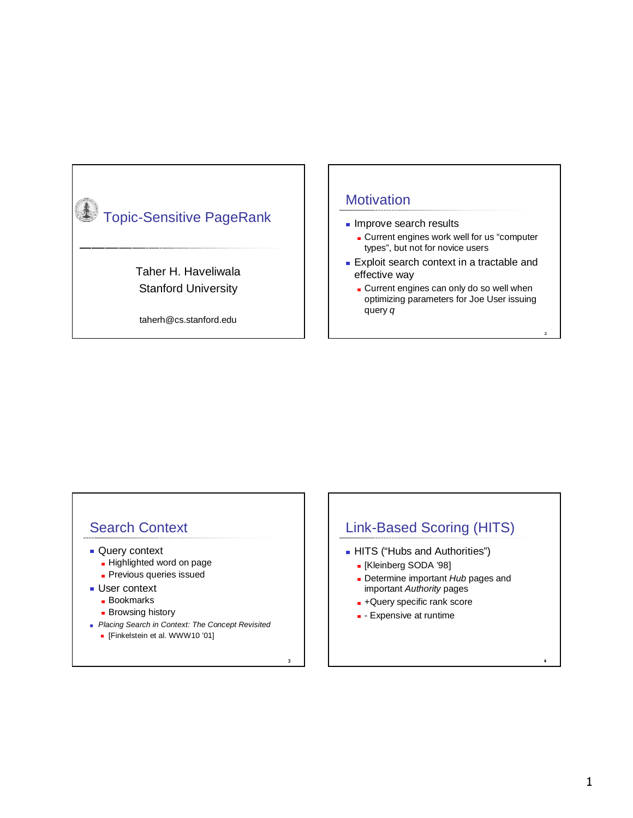

#### **Motivation**

- **Improve search results** 
	- **Current engines work well for us "computer** types", but not for novice users
- Exploit search context in a tractable and effective way
	- **Current engines can only do so well when** optimizing parameters for Joe User issuing query q

the contract of the contract of the contract of the contract of the contract of the contract of the contract of

#### Search Context

- **Query context** 
	- **Highlighted word on page**
	- **Previous queries issued**
- **User context** 
	- **Bookmarks**
	- **Browsing history**
- **Placing Search in Context: The Concept Revisited** 
	- [Finkelstein et al. WWW10 '01]

### Link-Based Scoring (HITS)

- **HITS** ("Hubs and Authorities")
	- [Kleinberg SODA '98]
	- Determine important Hub pages and important Authority pages
	- **-** +Query specific rank score
	- **-** Expensive at runtime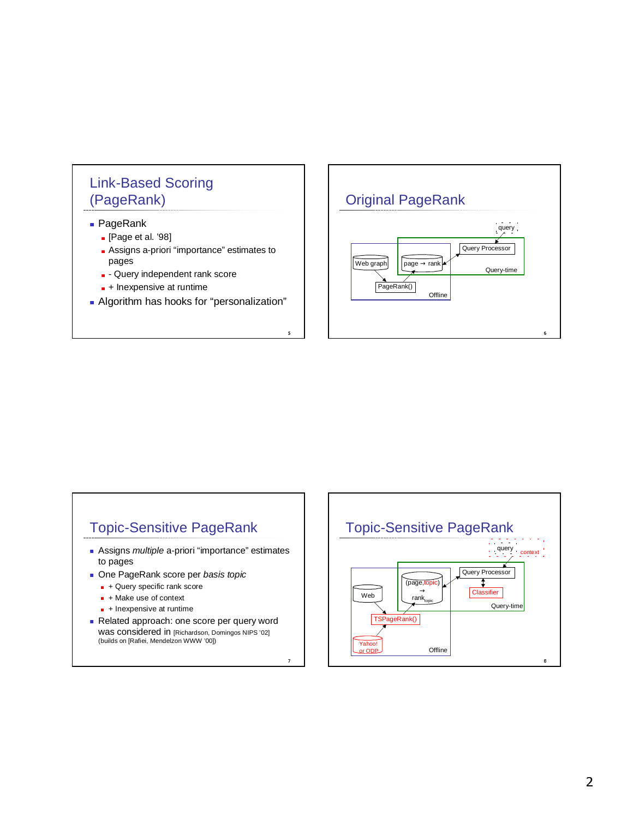# Link-Based Scoring (PageRank)

- PageRank
	- **.** [Page et al. '98]
	- **Assigns a-priori "importance" estimates to** pages
	- **D** Query independent rank score
	- **+ Inexpensive at runtime**
- Algorithm has hooks for "personalization"

. .

#### Original PageRank



#### Topic-Sensitive PageRank

- Assigns *multiple* a-priori "importance" estimates to pages
- One PageRank score per basis topic
	- + Query specific rank score
	- **H** + Make use of context
	- **+** Inexpensive at runtime
- Related approach: one score per query word was considered in [Richardson, Domingos NIPS '02] (builds on [Rafiei, Mendelzon WWW '00])

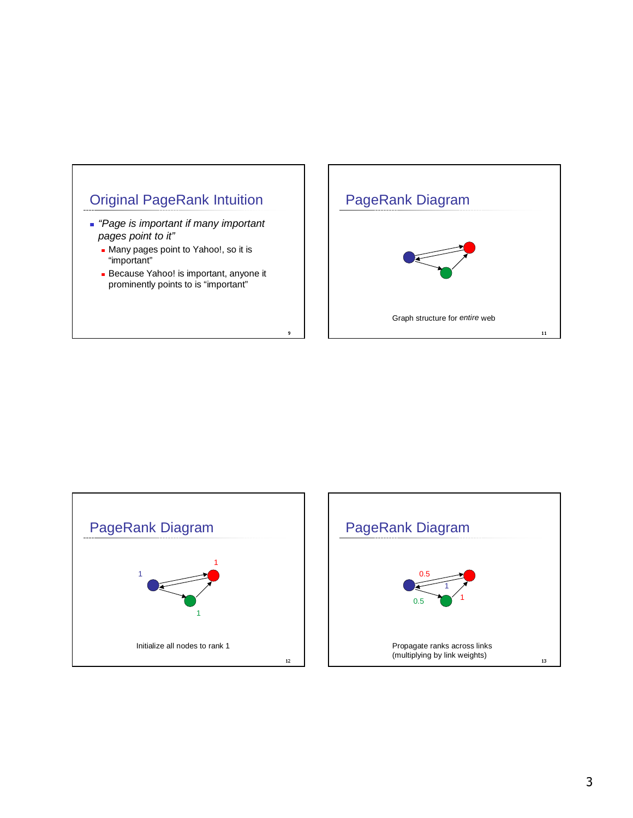

- "Page is important if many important pages point to it"
	- Many pages point to Yahoo!, so it is "important"
	- Because Yahoo! is important, anyone it prominently points to is "important"

. .

#### PageRank Diagram





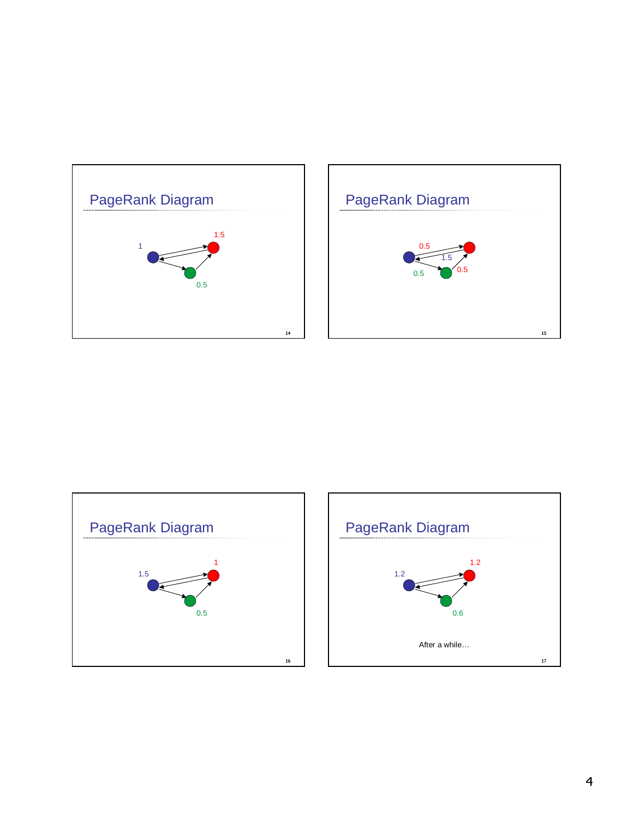





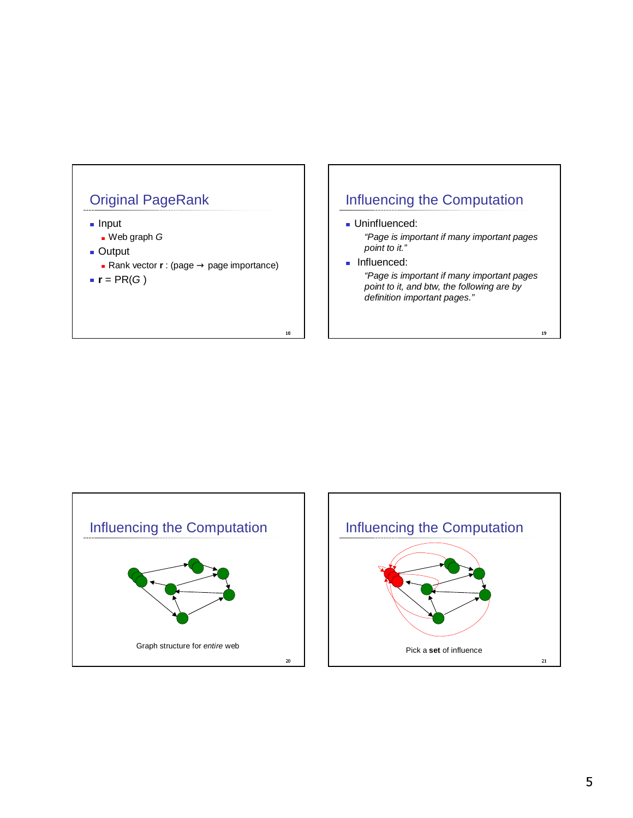

- Input
- Web graph G
- Output
	- Rank vector **r** : (page → page importance)

-

**r** =  $PR(G)$ 

# Influencing the Computation

- **Uninfluenced:** "Page is important if many important pages point to it."
- **Influenced:** "Page is important if many important pages point to it, and btw, the following are by definition important pages."



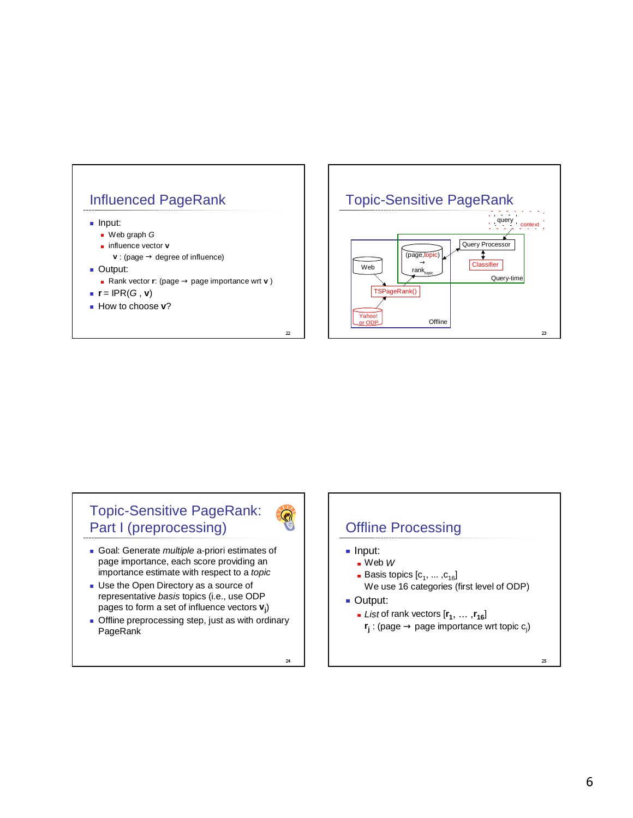





- Goal: Generate *multiple* a-priori estimates of page importance, each score providing an importance estimate with respect to a topic
- Use the Open Directory as a source of representative basis topics (i.e., use ODP pages to form a set of influence vectors **v<sup>j</sup>** )
- **Offline preprocessing step, just as with ordinary** PageRank

24

 $\odot$ 

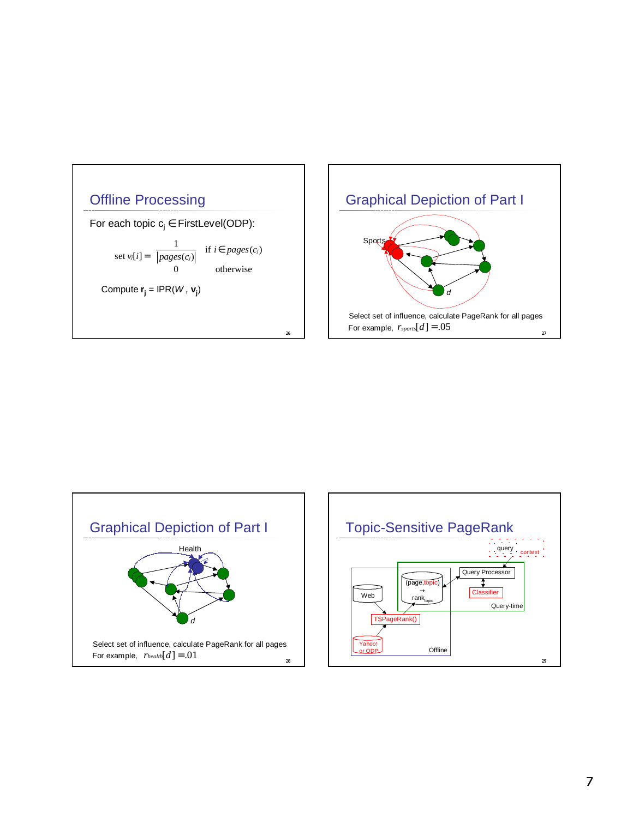





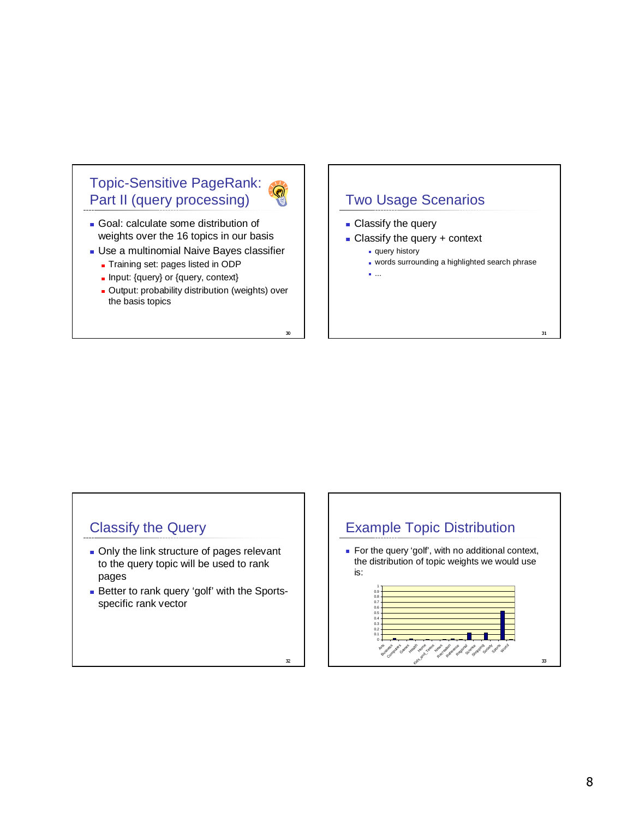# Topic-Sensitive PageRank: Part II (query processing)

- Goal: calculate some distribution of
- weights over the 16 topics in our basis
- Use a multinomial Naive Bayes classifier
	- Training set: pages listed in ODP
	- Input: {query} or {query, context}
	- **Dutput: probability distribution (weights) over** the basis topics

-

 $32$ 

# Two Usage Scenarios

- **Classify the query**
- **Classify the query + context** 
	- query history
	- **words surrounding a highlighted search phrase**

 $\overline{31}$ 

...

# Classify the Query

- **Only the link structure of pages relevant** to the query topic will be used to rank pages
- **Better to rank query 'golf' with the Sports**specific rank vector

#### Example Topic Distribution

 For the query 'golf', with no additional context, the distribution of topic weights we would use is:

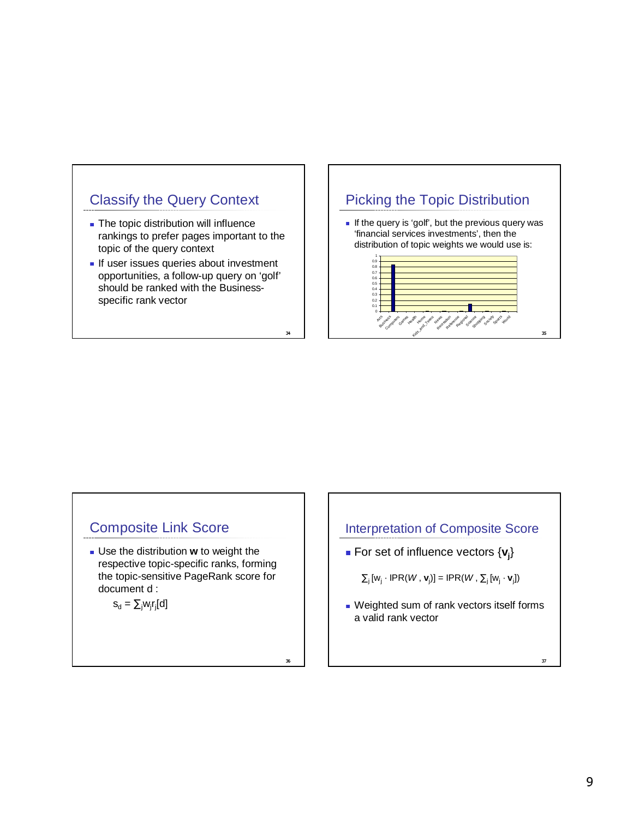# Classify the Query Context

- **The topic distribution will influence** rankings to prefer pages important to the topic of the query context
- If user issues queries about investment opportunities, a follow-up query on 'golf' should be ranked with the Businessspecific rank vector

### Picking the Topic Distribution

If the query is 'golf', but the previous query was 'financial services investments', then the distribution of topic weights we would use is:



#### Composite Link Score

 Use the distribution **w** to weight the respective topic-specific ranks, forming the topic-sensitive PageRank score for document d :

$$
s_d = \sum_j w_j r_j [d]
$$

#### Interpretation of Composite Score

- For set of influence vectors {**v<sup>j</sup>** }
	- $\Sigma_i[w_i \cdot \text{IPR}(W, \mathbf{v}_i)] = \text{IPR}(W, \Sigma_i[w_i \cdot \mathbf{v}_i])$
- Weighted sum of rank vectors itself forms a valid rank vector

34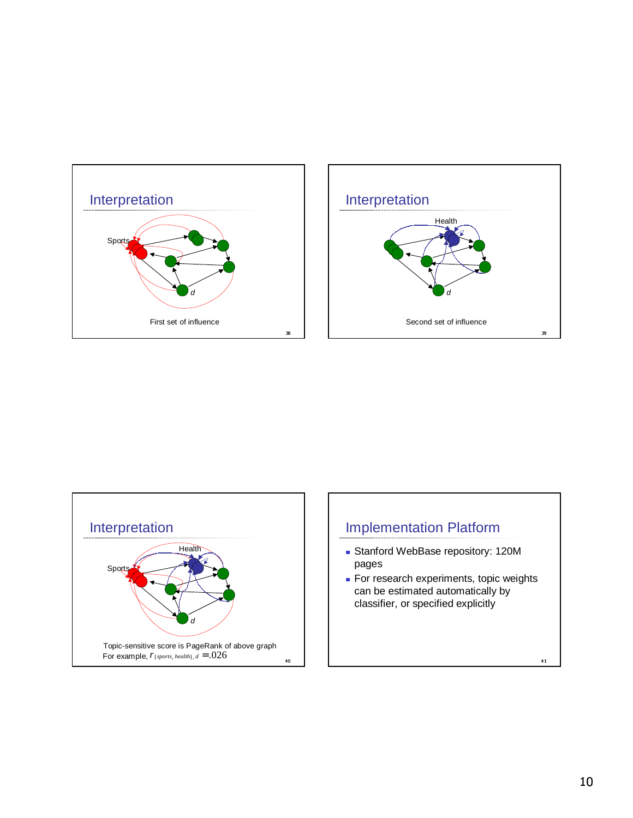



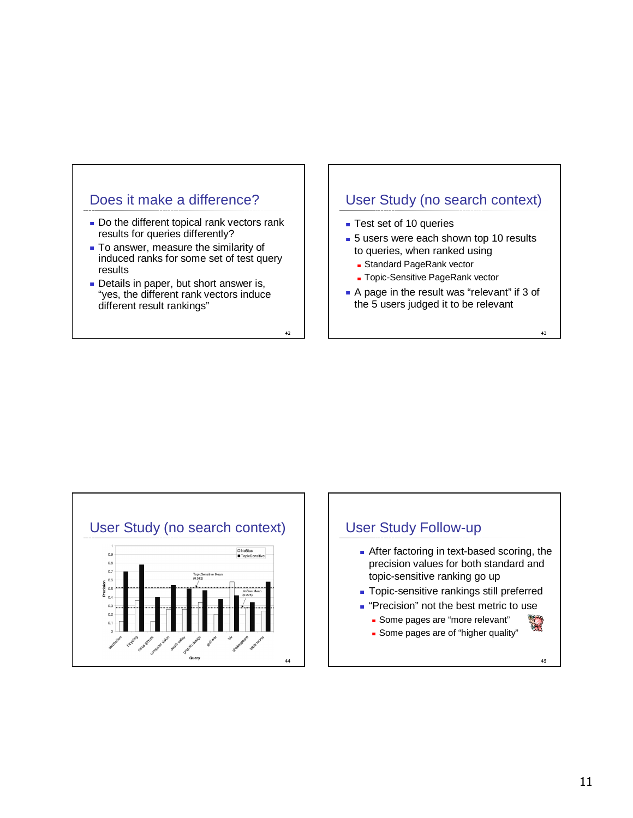#### Does it make a difference?

- Do the different topical rank vectors rank results for queries differently?
- **To answer, measure the similarity of** induced ranks for some set of test query results
- Details in paper, but short answer is, "yes, the different rank vectors induce different result rankings"

#### User Study (no search context)

**Test set of 10 queries** 

-

- **5** users were each shown top 10 results to queries, when ranked using
	- **B** Standard PageRank vector
	- **Topic-Sensitive PageRank vector**
- A page in the result was "relevant" if 3 of the 5 users judged it to be relevant

. . .

User Study (no search context) .<br>■ TopicSensitive  $0.9$  $_{0.8}$  $0.7$ Query

# User Study Follow-up

- **After factoring in text-based scoring, the** precision values for both standard and topic-sensitive ranking go up
- **Topic-sensitive rankings still preferred**
- **Precision**" not the best metric to use
	- **Some pages are "more relevant"**
	- **Some pages are of "higher quality"**

. . .

一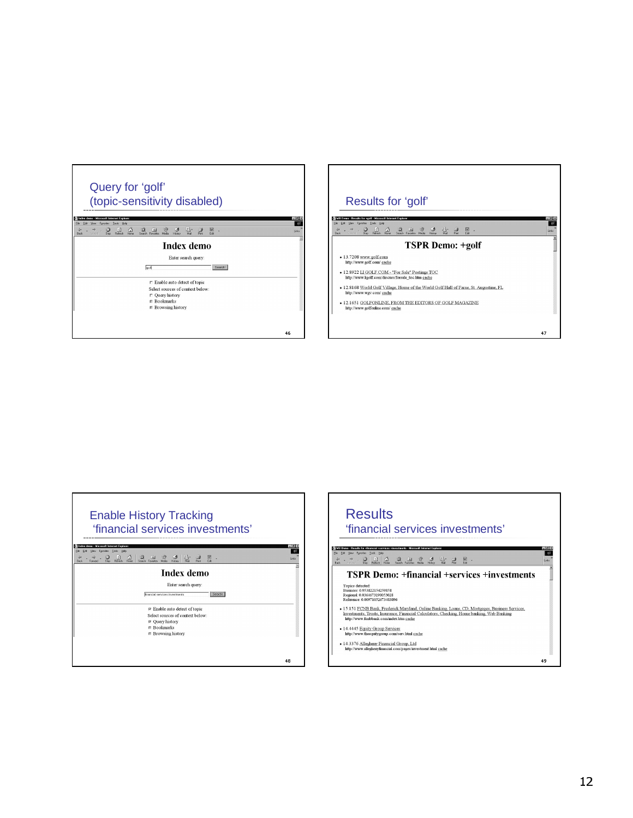





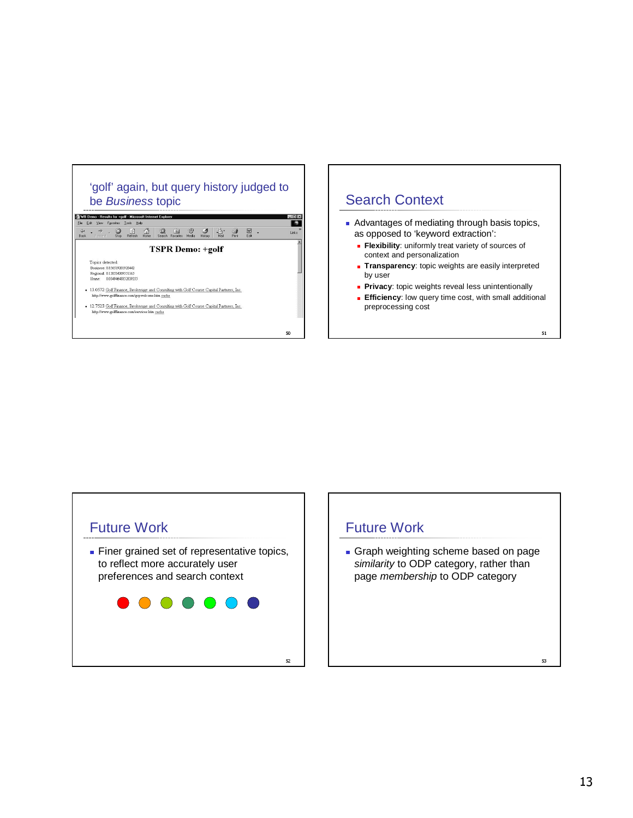





### Future Work

Graph weighting scheme based on page similarity to ODP category, rather than page membership to ODP category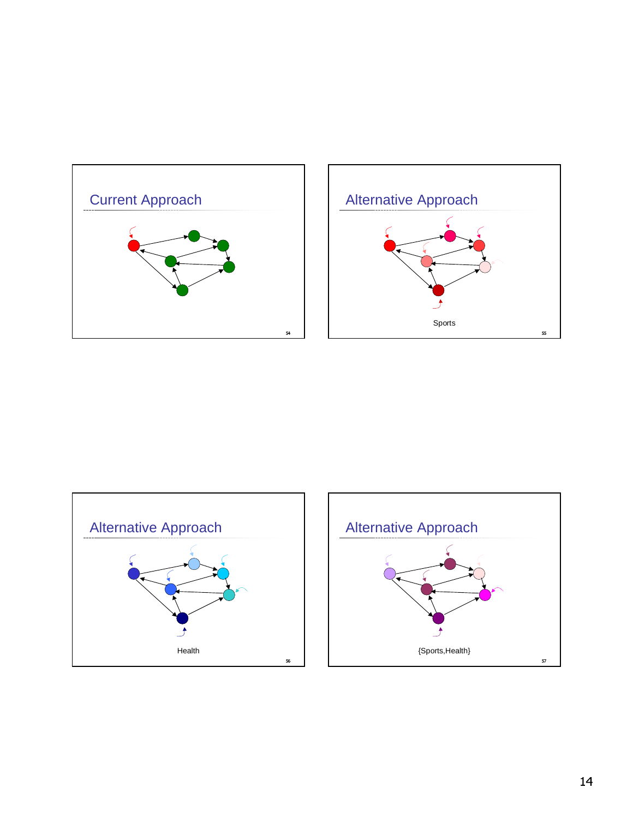